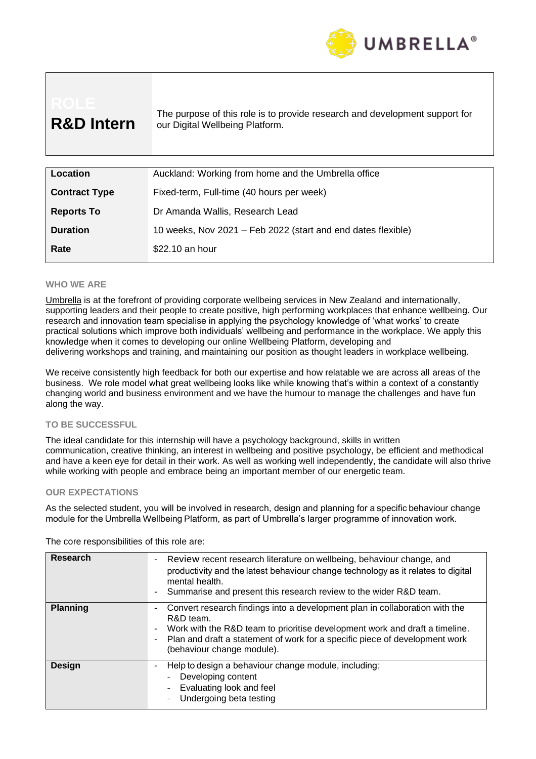

| <b>R&amp;D Intern</b> | The purpose of this role is to provide research and development support for<br>our Digital Wellbeing Platform. |
|-----------------------|----------------------------------------------------------------------------------------------------------------|
|                       |                                                                                                                |
| Location              | Auckland: Working from home and the Umbrella office                                                            |
| <b>Contract Type</b>  | Fixed-term, Full-time (40 hours per week)                                                                      |
| <b>Reports To</b>     | Dr Amanda Wallis, Research Lead                                                                                |
|                       |                                                                                                                |

# **Duration** 10 weeks, Nov 2021 – Feb 2022 (start and end dates flexible)

#### **WHO WE ARE**

[Umbrella](http://www.umbrella.org.nz/) is at the forefront of providing corporate wellbeing services in New Zealand and internationally, supporting leaders and their people to create positive, high performing workplaces that enhance wellbeing. Our research and innovation team specialise in applying the psychology knowledge of 'what works' to create practical solutions which improve both individuals' wellbeing and performance in the workplace. We apply this knowledge when it comes to developing our online Wellbeing Platform, developing and delivering workshops and training, and maintaining our position as thought leaders in workplace wellbeing.

We receive consistently high feedback for both our expertise and how relatable we are across all areas of the business. We role model what great wellbeing looks like while knowing that's within a context of a constantly changing world and business environment and we have the humour to manage the challenges and have fun along the way.

#### **TO BE SUCCESSFUL**

The ideal candidate for this internship will have a psychology background, skills in written communication, creative thinking, an interest in wellbeing and positive psychology, be efficient and methodical and have a keen eye for detail in their work. As well as working well independently, the candidate will also thrive while working with people and embrace being an important member of our energetic team.

#### **OUR EXPECTATIONS**

As the selected student, you will be involved in research, design and planning for a specific behaviour change module for the Umbrella Wellbeing Platform, as part of Umbrella's larger programme of innovation work.

| The core responsibilities of this role are: |  |
|---------------------------------------------|--|
|                                             |  |

**Rate** \$22.10 an hour

| <b>Research</b> | Review recent research literature on wellbeing, behaviour change, and<br>productivity and the latest behaviour change technology as it relates to digital<br>mental health.<br>Summarise and present this research review to the wider R&D team.                                                       |
|-----------------|--------------------------------------------------------------------------------------------------------------------------------------------------------------------------------------------------------------------------------------------------------------------------------------------------------|
| <b>Planning</b> | Convert research findings into a development plan in collaboration with the<br>R&D team.<br>Work with the R&D team to prioritise development work and draft a timeline.<br>$\blacksquare$<br>Plan and draft a statement of work for a specific piece of development work<br>(behaviour change module). |
| <b>Design</b>   | Help to design a behaviour change module, including;<br>Developing content<br>Evaluating look and feel<br>Undergoing beta testing                                                                                                                                                                      |